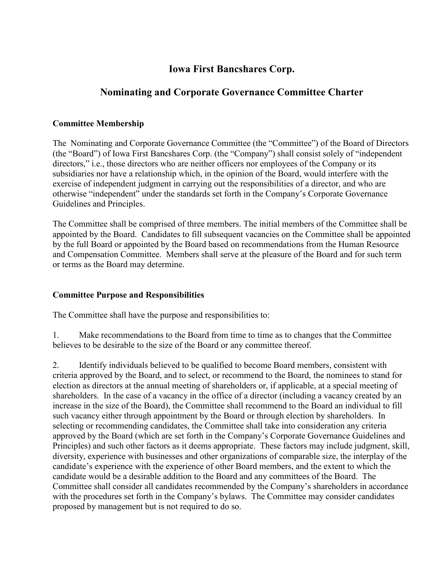# **Iowa First Bancshares Corp.**

# **Nominating and Corporate Governance Committee Charter**

### **Committee Membership**

The Nominating and Corporate Governance Committee (the "Committee") of the Board of Directors (the "Board") of Iowa First Bancshares Corp. (the "Company") shall consist solely of "independent directors," i.e., those directors who are neither officers nor employees of the Company or its subsidiaries nor have a relationship which, in the opinion of the Board, would interfere with the exercise of independent judgment in carrying out the responsibilities of a director, and who are otherwise "independent" under the standards set forth in the Company's Corporate Governance Guidelines and Principles.

The Committee shall be comprised of three members. The initial members of the Committee shall be appointed by the Board. Candidates to fill subsequent vacancies on the Committee shall be appointed by the full Board or appointed by the Board based on recommendations from the Human Resource and Compensation Committee. Members shall serve at the pleasure of the Board and for such term or terms as the Board may determine.

## **Committee Purpose and Responsibilities**

The Committee shall have the purpose and responsibilities to:

1. Make recommendations to the Board from time to time as to changes that the Committee believes to be desirable to the size of the Board or any committee thereof.

2. Identify individuals believed to be qualified to become Board members, consistent with criteria approved by the Board, and to select, or recommend to the Board, the nominees to stand for election as directors at the annual meeting of shareholders or, if applicable, at a special meeting of shareholders. In the case of a vacancy in the office of a director (including a vacancy created by an increase in the size of the Board), the Committee shall recommend to the Board an individual to fill such vacancy either through appointment by the Board or through election by shareholders. In selecting or recommending candidates, the Committee shall take into consideration any criteria approved by the Board (which are set forth in the Company's Corporate Governance Guidelines and Principles) and such other factors as it deems appropriate. These factors may include judgment, skill, diversity, experience with businesses and other organizations of comparable size, the interplay of the candidate's experience with the experience of other Board members, and the extent to which the candidate would be a desirable addition to the Board and any committees of the Board. The Committee shall consider all candidates recommended by the Company's shareholders in accordance with the procedures set forth in the Company's bylaws. The Committee may consider candidates proposed by management but is not required to do so.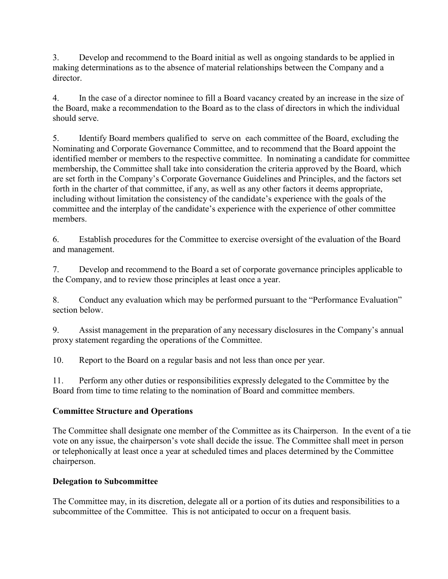3. Develop and recommend to the Board initial as well as ongoing standards to be applied in making determinations as to the absence of material relationships between the Company and a director.

4. In the case of a director nominee to fill a Board vacancy created by an increase in the size of the Board, make a recommendation to the Board as to the class of directors in which the individual should serve.

5. Identify Board members qualified to serve on each committee of the Board, excluding the Nominating and Corporate Governance Committee, and to recommend that the Board appoint the identified member or members to the respective committee. In nominating a candidate for committee membership, the Committee shall take into consideration the criteria approved by the Board, which are set forth in the Company's Corporate Governance Guidelines and Principles, and the factors set forth in the charter of that committee, if any, as well as any other factors it deems appropriate, including without limitation the consistency of the candidate's experience with the goals of the committee and the interplay of the candidate's experience with the experience of other committee members.

6. Establish procedures for the Committee to exercise oversight of the evaluation of the Board and management.

7. Develop and recommend to the Board a set of corporate governance principles applicable to the Company, and to review those principles at least once a year.

8. Conduct any evaluation which may be performed pursuant to the "Performance Evaluation" section below.

9. Assist management in the preparation of any necessary disclosures in the Company's annual proxy statement regarding the operations of the Committee.

10. Report to the Board on a regular basis and not less than once per year.

11. Perform any other duties or responsibilities expressly delegated to the Committee by the Board from time to time relating to the nomination of Board and committee members.

# **Committee Structure and Operations**

The Committee shall designate one member of the Committee as its Chairperson. In the event of a tie vote on any issue, the chairperson's vote shall decide the issue. The Committee shall meet in person or telephonically at least once a year at scheduled times and places determined by the Committee chairperson.

## **Delegation to Subcommittee**

The Committee may, in its discretion, delegate all or a portion of its duties and responsibilities to a subcommittee of the Committee. This is not anticipated to occur on a frequent basis.